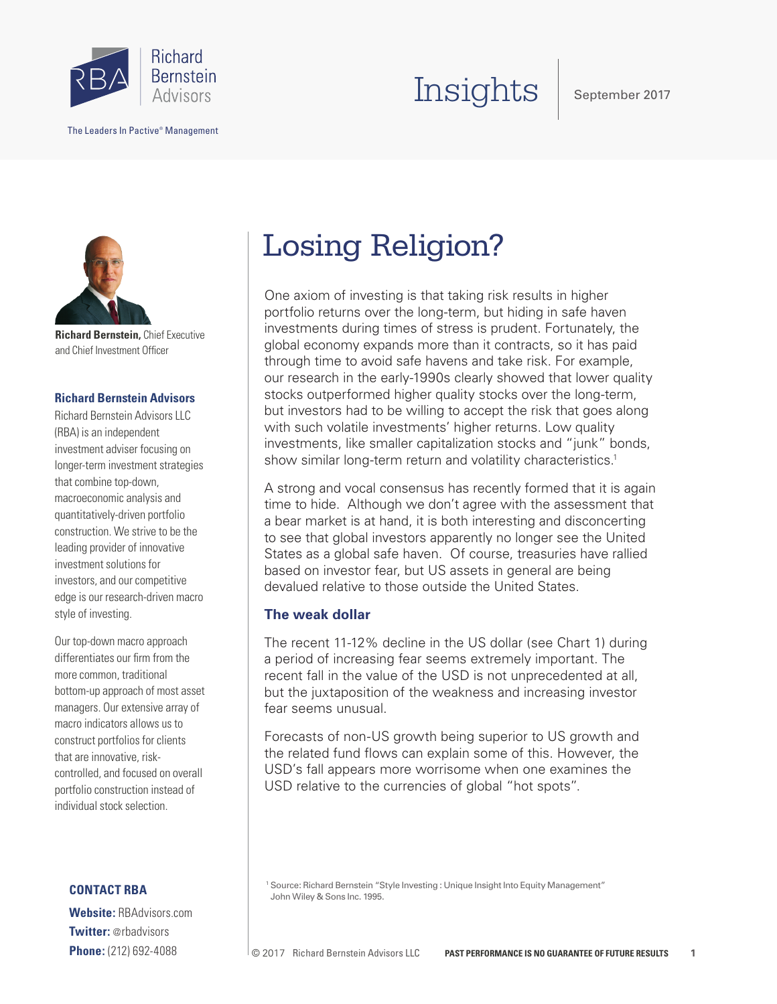

The Leaders In Pactive® Management

# Insights

September 2017



**Richard Bernstein,** Chief Executive and Chief Investment Officer

# **Richard Bernstein Advisors**

Richard Bernstein Advisors LLC (RBA) is an independent investment adviser focusing on longer-term investment strategies that combine top-down, macroeconomic analysis and quantitatively-driven portfolio construction. We strive to be the leading provider of innovative investment solutions for investors, and our competitive edge is our research-driven macro style of investing.

Our top-down macro approach differentiates our firm from the more common, traditional bottom-up approach of most asset managers. Our extensive array of macro indicators allows us to construct portfolios for clients that are innovative, riskcontrolled, and focused on overall portfolio construction instead of individual stock selection.

# **CONTACT RBA**

**Website:** RBAdvisors.com **Twitter:** @rbadvisors **Phone:** (212) 692-4088

# Losing Religion?

One axiom of investing is that taking risk results in higher portfolio returns over the long-term, but hiding in safe haven investments during times of stress is prudent. Fortunately, the global economy expands more than it contracts, so it has paid through time to avoid safe havens and take risk. For example, our research in the early-1990s clearly showed that lower quality stocks outperformed higher quality stocks over the long-term, but investors had to be willing to accept the risk that goes along with such volatile investments' higher returns. Low quality investments, like smaller capitalization stocks and "junk" bonds, show similar long-term return and volatility characteristics.<sup>1</sup>

A strong and vocal consensus has recently formed that it is again time to hide. Although we don't agree with the assessment that a bear market is at hand, it is both interesting and disconcerting to see that global investors apparently no longer see the United States as a global safe haven. Of course, treasuries have rallied based on investor fear, but US assets in general are being devalued relative to those outside the United States.

# **The weak dollar**

The recent 11-12% decline in the US dollar (see Chart 1) during a period of increasing fear seems extremely important. The recent fall in the value of the USD is not unprecedented at all, but the juxtaposition of the weakness and increasing investor fear seems unusual.

Forecasts of non-US growth being superior to US growth and the related fund flows can explain some of this. However, the USD's fall appears more worrisome when one examines the USD relative to the currencies of global "hot spots".

<sup>1</sup> Source: Richard Bernstein "Style Investing : Unique Insight Into Equity Management" John Wiley & Sons Inc. 1995.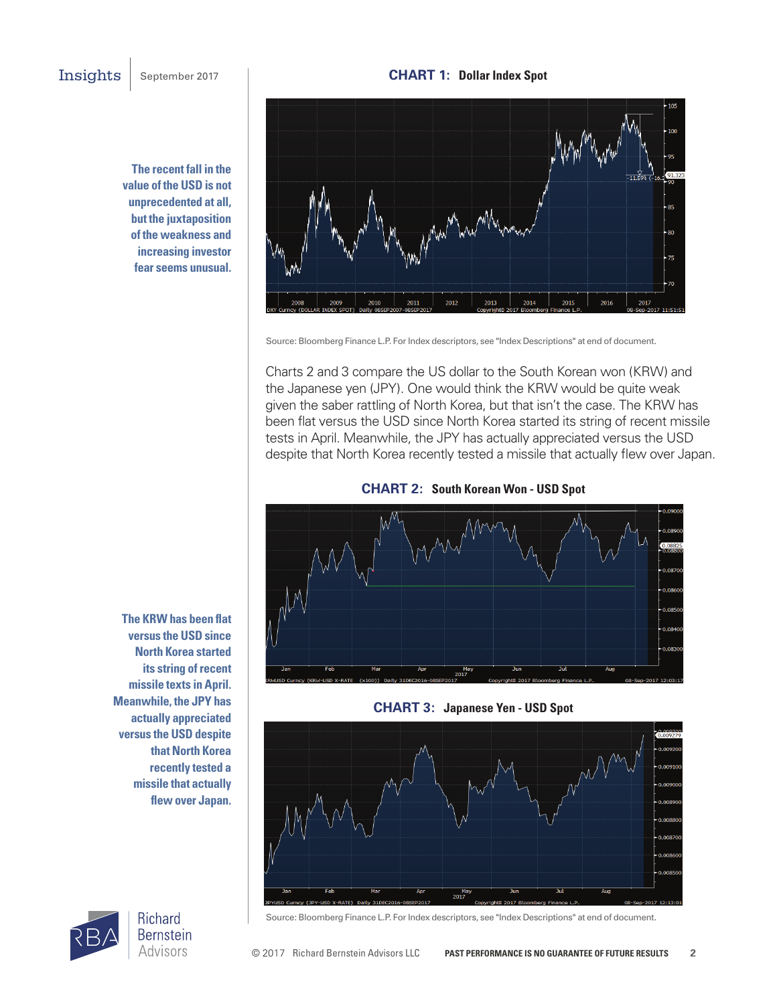**The recent fall in the value of the USD is not unprecedented at all, but the juxtaposition of the weakness and increasing investor fear seems unusual.**



Source: Bloomberg Finance L.P. For Index descriptors, see "Index Descriptions" at end of document.

Charts 2 and 3 compare the US dollar to the South Korean won (KRW) and the Japanese yen (JPY). One would think the KRW would be quite weak given the saber rattling of North Korea, but that isn't the case. The KRW has been flat versus the USD since North Korea started its string of recent missile tests in April. Meanwhile, the JPY has actually appreciated versus the USD despite that North Korea recently tested a missile that actually flew over Japan.



**CHART 2: South Korean Won - USD Spot** 





**versus the USD since North Korea started its string of recent missile texts in April. Meanwhile, the JPY has actually appreciated versus the USD despite that North Korea recently tested a missile that actually flew over Japan.**

**The KRW has been flat** 



Source: Bloomberg Finance L.P. For Index descriptors, see "Index Descriptions" at end of document.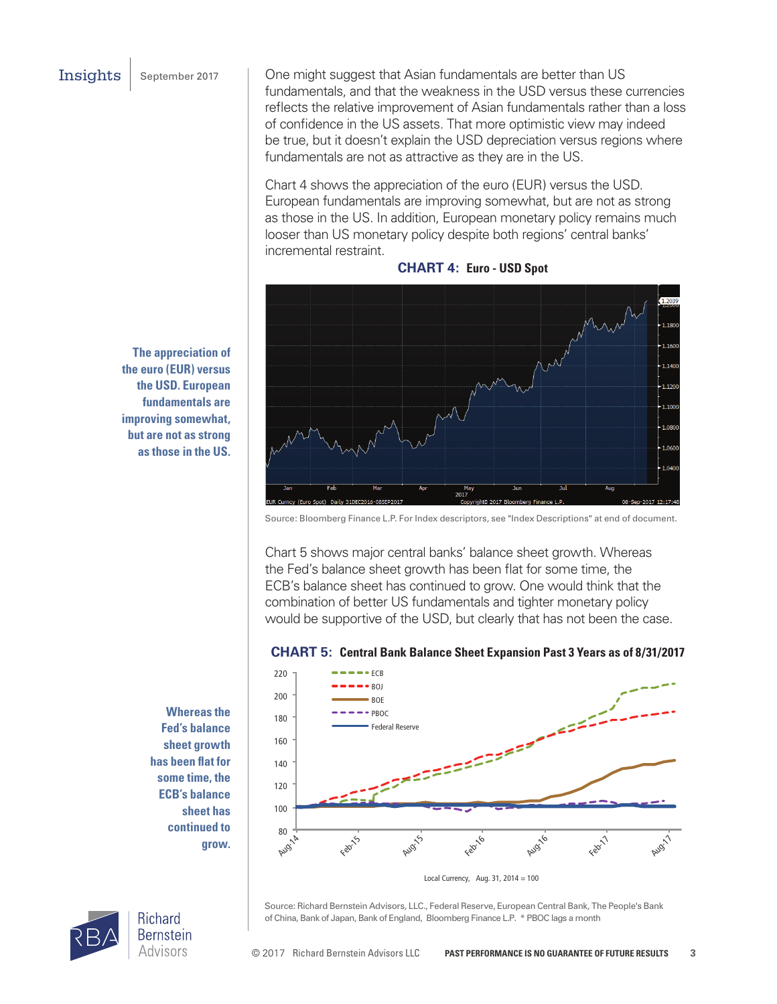Insights | September 2017

One might suggest that Asian fundamentals are better than US fundamentals, and that the weakness in the USD versus these currencies reflects the relative improvement of Asian fundamentals rather than a loss of confidence in the US assets. That more optimistic view may indeed be true, but it doesn't explain the USD depreciation versus regions where fundamentals are not as attractive as they are in the US.

Chart 4 shows the appreciation of the euro (EUR) versus the USD. European fundamentals are improving somewhat, but are not as strong as those in the US. In addition, European monetary policy remains much looser than US monetary policy despite both regions' central banks' incremental restraint.



**CHART 4: Euro - USD Spot**

Source: Bloomberg Finance L.P. For Index descriptors, see "Index Descriptions" at end of document.

Chart 5 shows major central banks' balance sheet growth. Whereas the Fed's balance sheet growth has been flat for some time, the ECB's balance sheet has continued to grow. One would think that the combination of better US fundamentals and tighter monetary policy would be supportive of the USD, but clearly that has not been the case.

### **CHART 5: Central Bank Balance Sheet Expansion Past 3 Years as of 8/31/2017**



Source: Richard Bernstein Advisors, LLC., Federal Reserve, European Central Bank, The People's Bank of China, Bank of Japan, Bank of England, Bloomberg Finance L.P. \* PBOC lags a month

**The appreciation of the euro (EUR) versus the USD. European fundamentals are improving somewhat, but are not as strong as those in the US.**

> **Whereas the Fed's balance sheet growth has been flat for some time, the ECB's balance sheet has continued to grow.**

Advisors

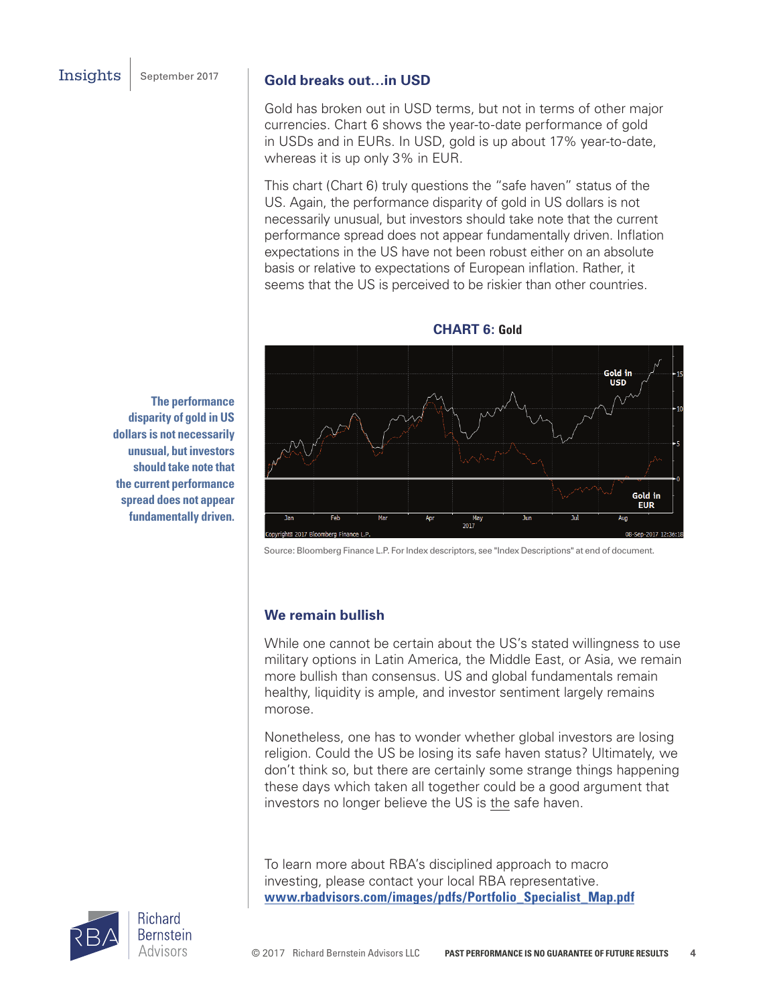# **Gold breaks out…in USD**

Gold has broken out in USD terms, but not in terms of other major currencies. Chart 6 shows the year-to-date performance of gold in USDs and in EURs. In USD, gold is up about 17% year-to-date, whereas it is up only 3% in EUR.

This chart (Chart 6) truly questions the "safe haven" status of the US. Again, the performance disparity of gold in US dollars is not necessarily unusual, but investors should take note that the current performance spread does not appear fundamentally driven. Inflation expectations in the US have not been robust either on an absolute basis or relative to expectations of European inflation. Rather, it seems that the US is perceived to be riskier than other countries.



**CHART 6: Gold**

Source: Bloomberg Finance L.P. For Index descriptors, see "Index Descriptions" at end of document.

# **We remain bullish**

While one cannot be certain about the US's stated willingness to use military options in Latin America, the Middle East, or Asia, we remain more bullish than consensus. US and global fundamentals remain healthy, liquidity is ample, and investor sentiment largely remains morose.

Nonetheless, one has to wonder whether global investors are losing religion. Could the US be losing its safe haven status? Ultimately, we don't think so, but there are certainly some strange things happening these days which taken all together could be a good argument that investors no longer believe the US is the safe haven.

To learn more about RBA's disciplined approach to macro investing, please contact your local RBA representative. **www.rbadvisors.com/images/pdfs/Portfolio\_Specialist\_Map.pdf**

**The performance disparity of gold in US dollars is not necessarily unusual, but investors should take note that the current performance spread does not appear fundamentally driven.** 

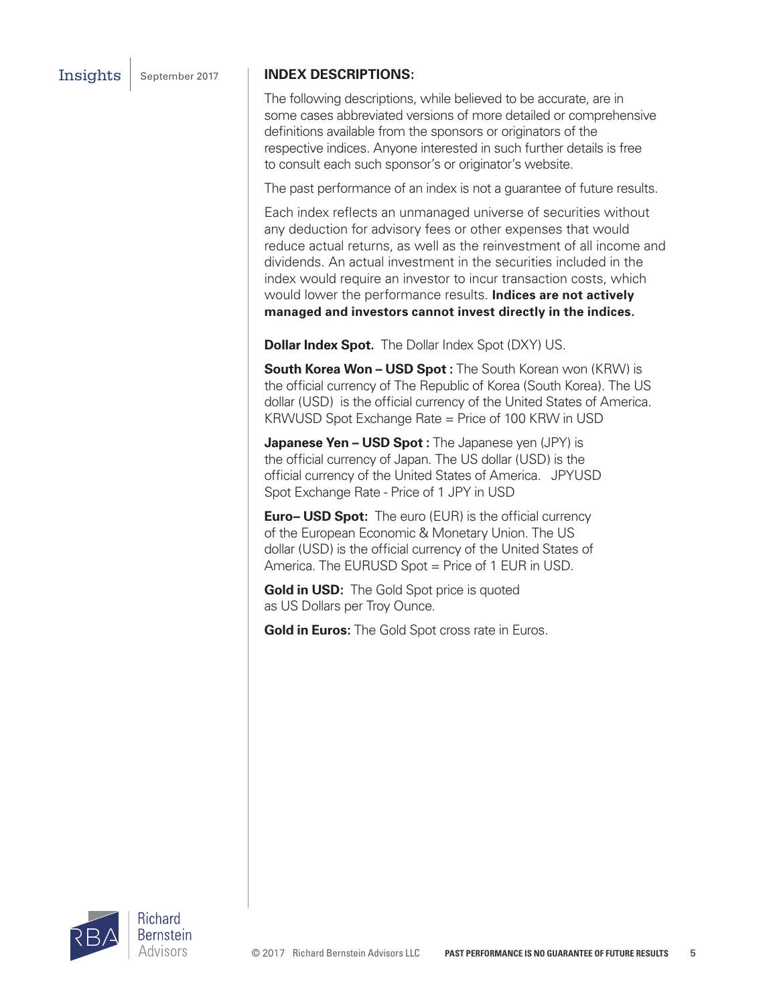## Insights | September 2017 | **INDEX DESCRIPTIONS:**

The following descriptions, while believed to be accurate, are in some cases abbreviated versions of more detailed or comprehensive definitions available from the sponsors or originators of the respective indices. Anyone interested in such further details is free to consult each such sponsor's or originator's website.

The past performance of an index is not a guarantee of future results.

Each index reflects an unmanaged universe of securities without any deduction for advisory fees or other expenses that would reduce actual returns, as well as the reinvestment of all income and dividends. An actual investment in the securities included in the index would require an investor to incur transaction costs, which would lower the performance results. **Indices are not actively managed and investors cannot invest directly in the indices.**

**Dollar Index Spot.** The Dollar Index Spot (DXY) US.

**South Korea Won – USD Spot :** The South Korean won (KRW) is the official currency of The Republic of Korea (South Korea). The US dollar (USD) is the official currency of the United States of America. KRWUSD Spot Exchange Rate = Price of 100 KRW in USD

**Japanese Yen – USD Spot :** The Japanese yen (JPY) is the official currency of Japan. The US dollar (USD) is the official currency of the United States of America. JPYUSD Spot Exchange Rate - Price of 1 JPY in USD

**Euro– USD Spot:** The euro (EUR) is the official currency of the European Economic & Monetary Union. The US dollar (USD) is the official currency of the United States of America. The EURUSD Spot = Price of 1 EUR in USD.

**Gold in USD:** The Gold Spot price is quoted as US Dollars per Troy Ounce.

**Gold in Euros:** The Gold Spot cross rate in Euros.



© 2017 Richard Bernstein Advisors LLC **PAST PERFORMANCE IS NO GUARANTEE OF FUTURE RESULTS 5**